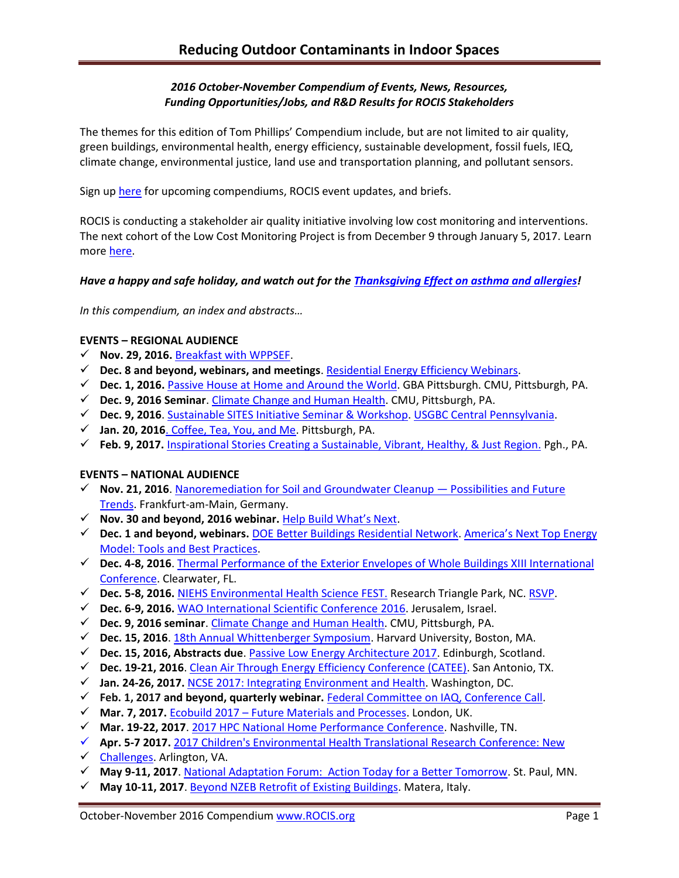## *2016 October-November Compendium of Events, News, Resources, Funding Opportunities/Jobs, and R&D Results for ROCIS Stakeholders*

The themes for this edition of Tom Phillips' Compendium include, but are not limited to air quality, green buildings, environmental health, energy efficiency, sustainable development, fossil fuels, IEQ, climate change, environmental justice, land use and transportation planning, and pollutant sensors.

Sign up [here](http://www.rocis.org/rocis-sign) for upcoming compendiums, ROCIS event updates, and briefs.

ROCIS is conducting a stakeholder air quality initiative involving low cost monitoring and interventions. The next cohort of the Low Cost Monitoring Project is from December 9 through January 5, 2017. Learn more [here.](http://rocis.org/rocis-low-cost-monitoring-project)

## *Have a happy and safe holiday, and watch out for the [Thanksgiving Effect on asthma and allergies!](http://www.atlantaallergy.com/articles/view/111-allergy--asthma-tips-for-a-happy-holiday-season)*

*In this compendium, an index and abstracts…*

### **EVENTS – REGIONAL AUDIENCE**

- **Nov. 29, 2016.** [Breakfast with WPPSEF.](https://www.go-gba.org/events/breakfast-with-wppsef-2/)
- **Dec. 8 and beyond, webinars, and meetings**[. Residential Energy Efficiency Webinars.](http://pennenergycodes.com/)
- **Dec. 1, 2016.** [Passive House at Home and Around the World.](https://www.go-gba.org/events/inspire-speakers-series-presents-inspirational-stories-creating-sustainable-vibrant-healthy-just-region/) GBA Pittsburgh. CMU, Pittsburgh, PA.
- **Dec. 9, 2016 Seminar**. [Climate Change and Human Health.](http://www.cmu.edu/cee/events/seminar.html) CMU, Pittsburgh, PA.
- **Dec. 9, 2016**. [Sustainable SITES Initiative Seminar & Workshop.](http://www.usgbc.org/event/sustainable-sites-initiative-seminar-workshop) [USGBC Central Pennsylvania.](http://www.usgbc.org/usgbc-central-pennsylvania)
- **Jan. 20, 2016**[. Coffee, Tea, You, and Me.](https://www.go-gba.org/events/coffee-tea-you-and-me/) Pittsburgh, PA.
- **Feb. 9, 2017.** [Inspirational Stories Creating a Sustainable, Vibrant, Healthy, & Just Region.](https://www.go-gba.org/events/inspire-speakers-series-presents-inspirational-stories-creating-sustainable-vibrant-healthy-just-region/) Pgh., PA.

## **EVENTS – NATIONAL AUDIENCE**

- **Nov. 21, 2016**. [Nanoremediation for Soil and Groundwater Cleanup](http://www.nanorem.eu/Displaynews.aspx?ID=895)  Possibilities and Future [Trends.](http://www.nanorem.eu/Displaynews.aspx?ID=895) Frankfurt-am-Main, Germany.
- **Nov. 30 and beyond, 2016 webinar.** [Help Build What's Next](http://www.c2ccertified.org/connect/built-positive-workshop-series?mc_cid=ede5f5e520&mc_eid=eb65409191).
- **Dec. 1 and beyond, webinars.** [DOE Better Buildings Residential Network.](http://energy.gov/eere/better-buildings-residential-network/better-buildings-residential-network) [America's Next Top Energy](http://energy.gov/eere/better-buildings-residential-network/events/america-s-next-top-energy-model-tools-and-best)  [Model: Tools and Best Practices.](http://energy.gov/eere/better-buildings-residential-network/events/america-s-next-top-energy-model-tools-and-best)
- **Dec. 4-8, 2016**. [Thermal Performance of the Exterior Envelopes of Whole Buildings XIII International](http://web.ornl.gov/sci/buildings/2016/)  [Conference.](http://web.ornl.gov/sci/buildings/2016/) Clearwater, FL.
- **Dec. 5-8, 2016.** [NIEHS Environmental Health Science FEST.](http://tools.niehs.nih.gov/conference/ehs_fest/) Research Triangle Park, NC. [RSVP.](https://www.surveymonkey.com/r/EHSFESTRSVP)
- **Dec. 6-9, 2016.** [WAO International Scientific Conference](http://www.worldallergy.org/wisc2016) 2016. Jerusalem, Israel.
- **Dec. 9, 2016 seminar**. [Climate Change and Human Health.](http://www.cmu.edu/cee/events/seminar.html) CMU, Pittsburgh, PA.
- **Dec. 15, 2016**[. 18th Annual Whittenberger Symposium.](https://www.hsph.harvard.edu/environmental-health/event/18-annual-whittenberger-symposium/?instance_id=1) Harvard University, Boston, MA.
- **Dec. 15, 2016, Abstracts due**[. Passive Low Energy Architecture 2017.](https://plea2017.net/) Edinburgh, Scotland.
- **Dec. 19-21, 2016**. [Clean Air Through Energy Efficiency Conference \(CATEE\).](http://catee.tamu.edu/home) San Antonio, TX.
- **Jan. 24-26, 2017.** [NCSE 2017: Integrating Environment and Health.](http://www.ncseconference.org/) Washington, DC.
- **Feb. 1, 2017 and beyond, quarterly webinar.** [Federal Committee on IAQ, Conference Call.](https://www.epa.gov/indoor-air-quality-iaq/federal-interagency-committee-indoor-air-quality)
- **Mar. 7, 2017.** Ecobuild 2017 [Future Materials and Processes.](http://www.arcc-network.org.uk/arcc-ecobuild-2017/) London, UK.
- **Mar. 19-22, 2017**. [2017 HPC National Home Performance Conference.](http://www.homeperformance.org/conference/2017-hpc-national-home-performance-conference-trade-show) Nashville, TN.
- **Apr. 5-7 2017.** [2017 Children's Environmental Health Translational Research Conference: New](http://www.cehn.org/join-us/conference/)
- $\checkmark$  [Challenges.](http://www.cehn.org/join-us/conference/) Arlington, VA.
- **May 9-11, 2017**[. National Adaptation Forum: Action Today for a Better Tomorrow.](http://www.nationaladaptationforum.org/?utm_source=Registration+Now+Open+and+CfP+Reminder+3&utm_campaign=CfP+5+Days+Announcement&utm_medium=email) St. Paul, MN.
- **May 10-11, 2017**[. Beyond NZEB Retrofit of Existing Buildings.](http://www.aicarr.org/Pages/EN/Upcoming%20Events/2016/50AiCARR.aspx) Matera, Italy.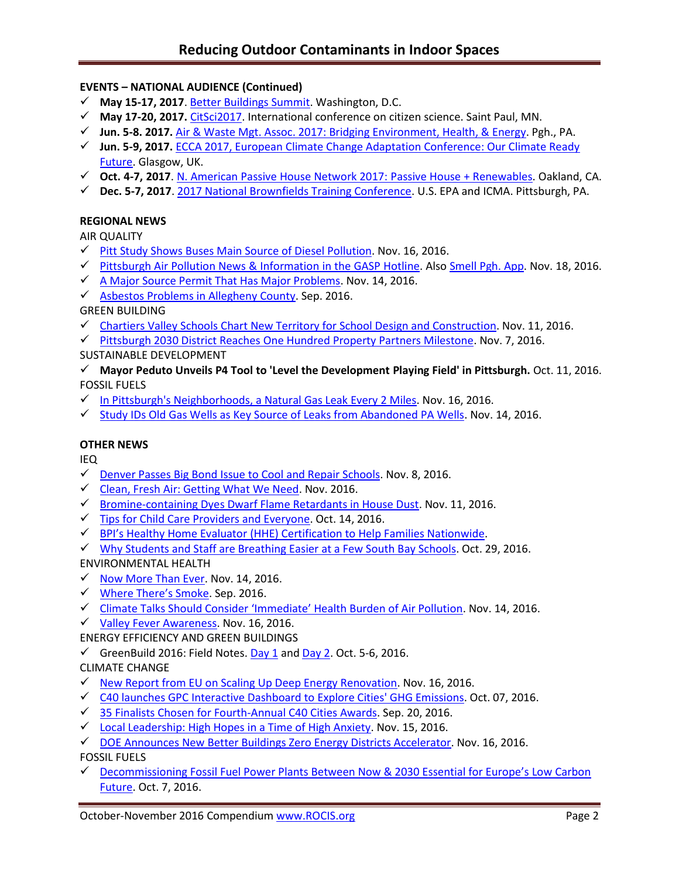# **EVENTS – NATIONAL AUDIENCE (Continued)**

- **May 15-17, 2017**[. Better Buildings Summit.](https://betterbuildingsinitiative.energy.gov/summit) Washington, D.C.
- **May 17-20, 2017.** [CitSci2017.](http://citizenscience.org/2016/07/13/citsci2017-may-17-20th-in-saint-paul-minnesota/) International conference on citizen science. Saint Paul, MN.
- **Jun. 5-8. 2017.** Air & Waste Mgt. Assoc. [2017: Bridging Environment, Health, &](http://www.awma.org/events-webinars/upcoming-events/ACE2017/about-the-conference) Energy. Pgh., PA.
- **Jun. 5-9, 2017.** [ECCA 2017, European Climate Change Adaptation Conference: Our Climate Ready](http://ecca2017.eu/conference/)  [Future.](http://ecca2017.eu/conference/) Glasgow, UK.
- **Oct. 4-7, 2017**. [N. American Passive House Network 2017: Passive House + Renewables.](http://naphnetwork.org/conference/) Oakland, CA.
- **Dec. 5-7, 2017**. [2017 National Brownfields Training Conference.](https://www.epa.gov/brownfields/2017-national-brownfields-training-conference) U.S. EPA and ICMA. Pittsburgh, PA.

## **REGIONAL NEWS**

AIR QUALITY

- $\checkmark$  [Pitt Study Shows Buses Main Source of Diesel Pollution.](http://pittnews.com/article/113846/top-stories/pitt-study-shows-buses-main-source-diesel-pollution/) Nov. 16, 2016.
- $\checkmark$  [Pittsburgh Air Pollution News](http://gasp-pgh.org/wp-content/uploads/hotline-2016fall-web.pdf) & Information in the GASP Hotline. Also [Smell Pgh. App.](http://www.cmucreatelab.org/projects/Smell_Pittsburgh) Nov. 18, 2016.
- $\checkmark$  [A Major Source Permit That Has Major Problems.](http://gasp-pgh.org/2016/11/14/a-major-source-permit-that-has-major-problems/) Nov. 14, 2016.
- $\checkmark$  [Asbestos Problems in Allegheny County.](http://www.achd.net/air/pubs/EcoCurrents/2016_July-Sept.pdf) Sep. 2016.

GREEN BUILDING

- Chartiers Valley Schools Chart [New Territory for School Design and Construction.](https://www.go-gba.org/chartiers-valley-school-district-charting-new-territory-school-design-construction/) Nov. 11, 2016.
- ← [Pittsburgh 2030 District Reaches One Hundred Property Partners Milestone.](https://www.go-gba.org/one-hundred-property-partners-milestone-success/) Nov. 7, 2016.

## SUSTAINABLE DEVELOPMENT

- **Mayor Peduto Unveils P4 Tool to 'Level the Development Playing Field' in Pittsburgh.** Oct. 11, 2016. FOSSIL FUELS
- $\checkmark$  [In Pittsburgh's Neighborhoods, a Natural Gas Leak Every 2 Miles.](http://powersource.post-gazette.com/powersource/policy-powersource/2016/11/15/A-natural-gas-leak-every-two-miles-in-Pittsburgh-neighborhoods/stories/201611160069) Nov. 16, 2016.
- $\checkmark$  [Study IDs Old Gas Wells as Key Source of Leaks from Abandoned PA Wells.](http://powersource.post-gazette.com/powersource/policy-powersource/2016/11/14/Study-pinpoints-leakiest-abandoned-oil-and-gas-wells/stories/201611140178) Nov. 14, 2016.

## **OTHER NEWS**

IEQ

- $\checkmark$  [Denver Passes Big Bond Issue to Cool and Repair Schools.](http://www.denverpost.com/2016/11/08/colorado-school-bond-issue-election-results/) Nov. 8, 2016.
- $\checkmark$  [Clean, Fresh Air: Getting What We Need.](https://www.buildinggreen.com/sites/default/files/ebn/EBN_25-11.pdf) Nov. 2016.
- $\checkmark$  [Bromine-containing Dyes Dwarf Flame Retardants in House Dust.](http://cen.acs.org/articles/94/web/2016/11/Bromine-containing-dyes-dwarf-flame.html) Nov. 11, 2016.
- $\checkmark$  [Tips for Child Care Providers and Everyone.](http://www.cleanhealthyny.org/) Oct. 14, 2016.
- $\checkmark$  BPI's Healthy Home Evaluator [\(HHE\) Certification to Help Families Nationwide.](http://www.asthmacommunitynetwork.org/node/16478)
- [Why Students and Staff are Breathing Easier at a Few South Bay Schools.](http://www.dailybreeze.com/environment-and-nature/20161029/why-students-and-staff-are-breathing-easier-at-a-few-south-bay-schools) Oct. 29, 2016.

ENVIRONMENTAL HEALTH

- $\checkmark$  [Now More Than Ever.](http://www.cleanhealthyny.org/blog) Nov. 14, 2016.
- [Where There's Smoke](https://yibsfieldnotes.atavist.com/lucia_w). Sep. 2016.
- [Climate Talks Should Consider 'Immediate' Health Burden of Air Pollution](https://www.hsph.harvard.edu/news/hsph-in-the-news/climate-talks-should-consider-immediate-health-burden-of-air-pollution/). Nov. 14, 2016.
- $\checkmark$  [Valley Fever Awareness.](http://www.kerngoldenempire.com/news/valley-fever-awareness) Nov. 16, 2016.
- ENERGY EFFICIENCY AND GREEN BUILDINGS
- [GreenBuild 2016: Field Notes. Day 1](https://www.go-gba.org/greenbuild-2016-notes-field-day-1/) an[d Day 2.](https://www.go-gba.org/greenbuild-2016-notes-field-summit-day/) Oct. 5-6, 2016.

# CLIMATE CHANGE

- ◆ [New Report from EU on Scaling Up Deep Energy Renovation.](http://www.buildup.eu/en/news/new-report-bpie-and-i24-scaling-deep-energy-renovation) Nov. 16, 2016.
- $\checkmark$  [C40 launches GPC Interactive Dashboard to Explore Cities' GHG Emissions.](http://www.c40.org/blog_posts/c40-launches-gpc-interactive-dashboard-to-explore-cities-ghg-emissions) Oct. 07, 2016.
- [35 Finalists Chosen for Fourth-Annual C40 Cities Awards.](http://www.c40.org/blog_posts/35-finalists-chosen-for-fourth-annual-c40-cities-awards) Sep. 20, 2016.
- $\checkmark$  [Local Leadership: High Hopes in a Time of High Anxiety.](http://www.iscvt.org/local-leadership/) Nov. 15, 2016.
- $\checkmark$  DOE Announces New [Better Buildings Zero Energy Districts Accelerator.](http://energy.gov/eere/articles/energy-department-announces-partnerships-under-new-better-buildings-zero-energy) Nov. 16, 2016. FOSSIL FUELS
- $\checkmark$  [Decommissioning Fossil Fuel Power Plants Between Now & 2030 Essential for Europe's](http://www.eea.europa.eu/highlights/decommissioning-fossil-fuel-power-plants) Low Carbon [Future.](http://www.eea.europa.eu/highlights/decommissioning-fossil-fuel-power-plants) Oct. 7, 2016.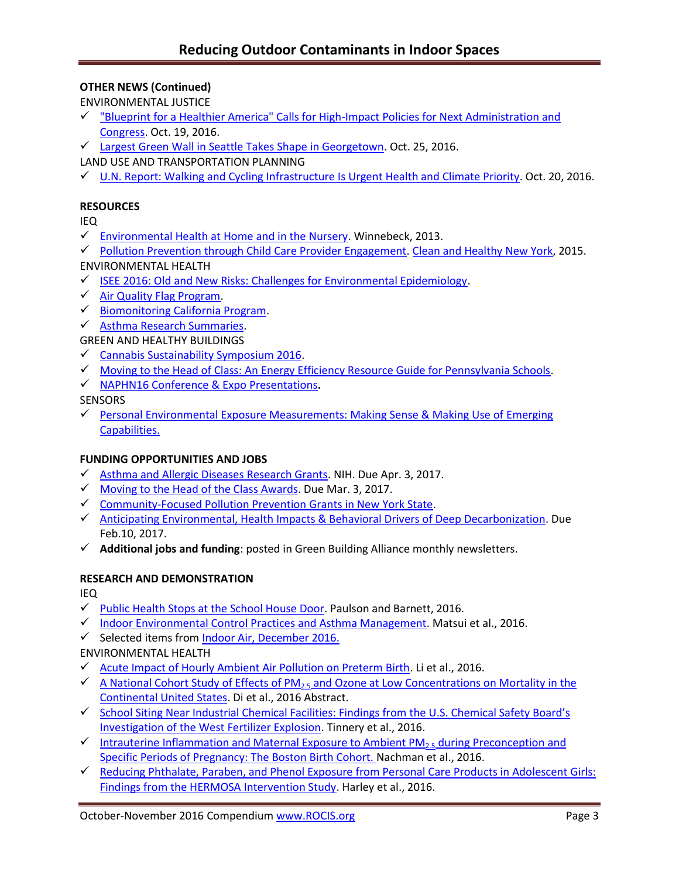# **OTHER NEWS (Continued)**

ENVIRONMENTAL JUSTICE

- $\checkmark$  "Blueprint for a Healthier America" Calls for High-Impact Policies for Next Administration and [Congress.](http://healthyamericans.org/report/129) Oct. 19, 2016.
- [Largest Green Wall in Seattle Takes Shape in Georgetown.](http://www.seattleweekly.com/news/largest-green-wall-in-seattle-takes-shape-in-georgetown/) Oct. 25, 2016.
- LAND USE AND TRANSPORTATION PLANNING
- [U.N. Report: Walking and Cycling Infrastructure Is Urgent Health and Climate Priority.](http://www.unep.org/newscentre/default.aspx?DocumentID=27086&ArticleID=36285) Oct. 20, 2016.

## **RESOURCES**

IEQ

- $\checkmark$  [Environmental Health at Home and in the Nursery.](https://www.google.com/url?sa=t&rct=j&q=&esrc=s&source=web&cd=1&cad=rja&uact=8&ved=0ahUKEwiiqf-S-rLQAhXL1CYKHVQbDIMQFggdMAA&url=https%3A%2F%2Fwww.rit.edu%2Faffiliate%2Fnysp2i%2Fsites%2Frit.edu.affiliate.nysp2i%2Ffiles%2Fdocs%2Fworkshops%2F3%2520-rgh_environmental_health_at_home__in_the_nursery_nov13_0.pdf&usg=AFQjCNEy5Qsmvf2RzPe9E7o1hZjkoXGY-w&sig2=82rwwIagS3I86niJF4lyTw) Winnebeck, 2013.
- $\checkmark$  [Pollution Prevention through Child Care Provider Engagement.](https://www.rit.edu/affiliate/nysp2i/sites/rit.edu.affiliate.nysp2i/files/docs/case-studies/06-NYSP2I-CHNY_final_0.pdf) [Clean and Healthy New York,](http://www.cleanhealthyny.org/) 2015. ENVIRONMENTAL HEALTH
- $\checkmark$  [ISEE 2016: Old and New Risks: Challenges for Environmental Epidemiology.](http://ehp03.niehs.nih.gov/isee/isee-2016/)
- $\checkmark$  [Air Quality Flag Program.](https://www.airnow.gov/index.cfm?action=flag_program.educational)
- $\checkmark$  [Biomonitoring California Program.](http://biomonitoring.ca.gov/)
- [Asthma Research Summaries.](http://www.asthmacommunitynetwork.org/AsthmaResearch?utm_content=&utm_medium=email&utm_name=&utm_source=govdelivery&utm_term=)

## GREEN AND HEALTHY BUILDINGS

- $\checkmark$  [Cannabis Sustainability Symposium 2016.](http://www.cannabissustainability.org/)
- [Moving to the Head of Class: An Energy Efficiency Resource Guide for Pennsylvania Schools.](http://keealliance.org/schools/)
- [NAPHN16 Conference & Expo Presentations](http://naphnetwork.org/resources/)**.**
- **SENSORS**
- ← Personal Environmental Exposure Measurements: Making Sense & Making Use of Emerging [Capabilities.](http://nas-sites.org/emergingscience/personal-exposure-measurement/)

## **FUNDING OPPORTUNITIES AND JOBS**

- $\checkmark$  [Asthma and Allergic Diseases Research Grants.](http://www.rampasthma.org/archives/14267) NIH. Due Apr. 3, 2017.
- $\checkmark$  Moving to the Head [of the Class Awards.](http://keealliance.org/schools-award/) Due Mar. 3, 2017.
- [Community-Focused Pollution Prevention Grants in New York State.](https://www.rit.edu/affiliate/nysp2i/community-programs/community-grants)
- $\checkmark$  [Anticipating Environmental, Health Impacts & Behavioral Drivers of Deep Decarbonization.](file:///C:/Anticipating%20the%20Environmental%20Impacts%20and%20Behavioral%20Drivers%20of%20Deep%20Decarbonization%20%20Due%20Date/%2002:10:2017) Due Feb.10, 2017.
- **Additional jobs and funding**: posted in Green Building Alliance monthly newsletters.

## **RESEARCH AND DEMONSTRATION**

IEQ

- $\checkmark$  [Public Health Stops at the School House Door.](http://ehp.niehs.nih.gov/ehp530/) Paulson and Barnett, 2016.
- $\checkmark$  [Indoor Environmental Control Practices and Asthma Management.](http://pediatrics.aappublications.org/content/138/5/e20162589.full) Matsui et al., 2016.
- $\checkmark$  Selected items from [Indoor Air, December 2016.](http://onlinelibrary.wiley.com/doi/10.1111/ina.2016.26.issue-6/issuetoc?campaign=woletoc)

# ENVIRONMENTAL HEALTH

- $\checkmark$  [Acute Impact of Hourly Ambient Air Pollution on Preterm Birth.](http://ehp.niehs.nih.gov/ehp200/) Li et al., 2016.
- $\checkmark$  A National Cohort Study of Effects of PM<sub>2.5</sub> and Ozone at Low Concentrations on Mortality in the [Continental United States.](http://ehp.niehs.nih.gov/isee/2016-o-001-4040/) Di et al., 2016 Abstract.
- ✔ School Siting Near Industrial Chemical Facilities: Findings from the U.S. Chemical Safety Board's [Investigation of the West Fertilizer Explosion.](http://ehp.niehs.nih.gov/ehp132/) Tinnery et al., 2016.
- [Intrauterine Inflammation and Maternal Exposure to Ambient PM](http://ehp.niehs.nih.gov/ehp243/)<sub>2.5</sub> during Preconception and [Specific Periods of Pregnancy: The Boston Birth Cohort. N](http://ehp.niehs.nih.gov/ehp243/)achman et al., 2016.
- [Reducing Phthalate, Paraben, and Phenol Exposure from Personal Care Products in Adolescent Girls:](http://ehp.niehs.nih.gov/15-10514/)  [Findings from the HERMOSA Intervention Study.](http://ehp.niehs.nih.gov/15-10514/) Harley et al., 2016.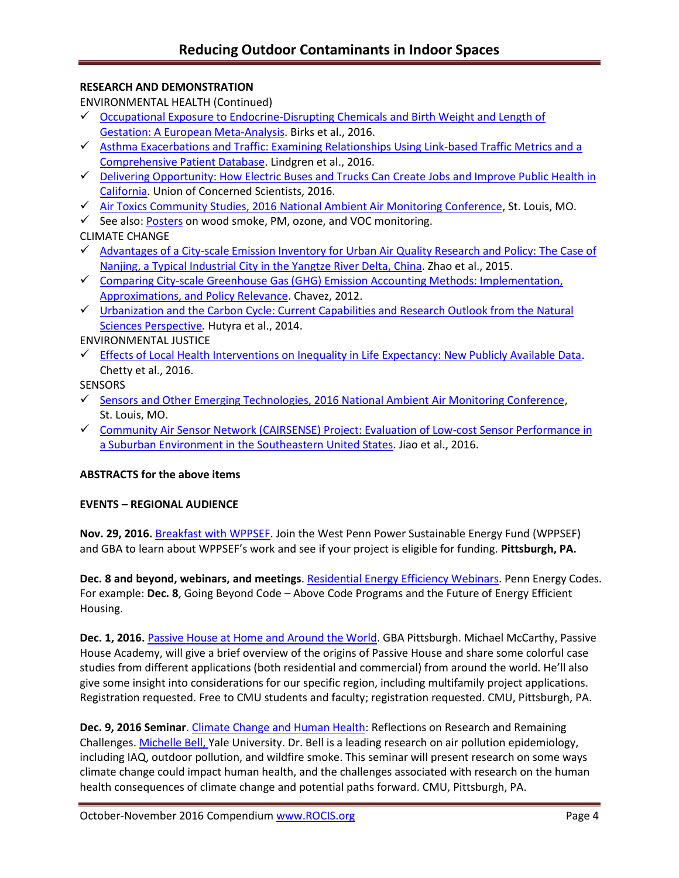## **RESEARCH AND DEMONSTRATION**

ENVIRONMENTAL HEALTH (Continued)

- $\checkmark$  Occupational Exposure to Endocrine-Disrupting Chemicals and Birth Weight and Length of [Gestation: A European Meta-Analysis.](file:///C:/Users/lwigington/Downloads/ehp.niehs.nih.gov/childrens-health) Birks et al., 2016.
- [Asthma Exacerbations and Traffic: Examining Relationships Using Link-based Traffic Metrics and a](http://ehjournal.biomedcentral.com/articles/10.1186/s12940-016-0184-2) [Comprehensive Patient Database.](http://ehjournal.biomedcentral.com/articles/10.1186/s12940-016-0184-2) Lindgren et al., 2016.
- [Delivering Opportunity: How Electric Buses and Trucks Can Create Jobs and Improve Public Health in](http://www.ucsusa.org/clean-vehicles/electric-vehicles/freight-electrification#.WC2KxoWsOwk)  [California.](http://www.ucsusa.org/clean-vehicles/electric-vehicles/freight-electrification#.WC2KxoWsOwk) Union of Concerned Scientists, 2016.
- $\checkmark$  [Air Toxics Community Studies, 2016 National Ambient Air Monitoring Conference,](file:///C:/Users/lwigington/Downloads/2016%20National%20Ambient%20Air%20Monitoring%20Conference) St. Louis, MO.
- See also: [Posters](https://www.epa.gov/sites/production/files/2016-09/documents/castnet_ozone_monitoring.pdf) on wood smoke, PM, ozone, and VOC monitoring.
- CLIMATE CHANGE
- $\checkmark$  Advantages of a City-scale Emission Inventory for Urban Air Quality Research and Policy: The Case of [Nanjing, a Typical Industrial City in the Yangtze River Delta, China.](http://www.atmos-chem-phys.net/15/12623/2015/acp-15-12623-2015.pdf) Zhao et al., 2015.
- $\checkmark$  Comparing City-scale Greenhouse Gas (GHG) Emission Accounting Methods: Implementation, [Approximations, and Policy Relevance.](http://digital.auraria.edu/AA00000056/00001) Chavez, 2012.
- $\checkmark$  Urbanization and the Carbon Cycle: Current Capabilities and Research Outlook from the Natural [Sciences Perspective](http://onlinelibrary.wiley.com/doi/10.1002/2014EF000255/full)*.* Hutyra et al., 2014.

ENVIRONMENTAL JUSTICE

 $\checkmark$  [Effects of Local Health Interventions on Inequality in Life Expectancy: New Publicly Available Data.](http://www.asthmacommunitynetwork.org/node/16478) Chetty et al., 2016.

**SENSORS** 

- $\checkmark$  Sensors and [Other Emerging Technologies, 2016 National Ambient Air Monitoring Conference,](https://www.epa.gov/amtic/sensors-and-other-emerging-technologies-2016-naamc) St. Louis, MO.
- [Community Air Sensor Network \(CAIRSENSE\) Project: Evaluation of Low-cost Sensor Performance in](http://www.atmos-meas-tech.net/9/5281/2016/amt-9-5281-2016.pdf)  [a Suburban Environment in the Southeastern United States.](http://www.atmos-meas-tech.net/9/5281/2016/amt-9-5281-2016.pdf) Jiao et al., 2016.

## **ABSTRACTS for the above items**

## **EVENTS – REGIONAL AUDIENCE**

**Nov. 29, 2016.** [Breakfast with WPPSEF.](https://www.go-gba.org/events/breakfast-with-wppsef-2/) Join the West Penn Power Sustainable Energy Fund (WPPSEF) and GBA to learn about WPPSEF's work and see if your project is eligible for funding. **Pittsburgh, PA.**

**Dec. 8 and beyond, webinars, and meetings**. [Residential Energy Efficiency Webinars.](http://pennenergycodes.com/) Penn Energy Codes. For example: **Dec. 8**, Going Beyond Code – Above Code Programs and the Future of Energy Efficient Housing.

**Dec. 1, 2016.** [Passive House at Home and Around the World.](https://www.go-gba.org/events/inspire-speakers-series-presents-inspirational-stories-creating-sustainable-vibrant-healthy-just-region/) GBA Pittsburgh. Michael McCarthy, Passive House Academy, will give a brief overview of the origins of Passive House and share some colorful case studies from different applications (both residential and commercial) from around the world. He'll also give some insight into considerations for our specific region, including multifamily project applications. Registration requested. Free to CMU students and faculty; registration requested. CMU, Pittsburgh, PA.

**Dec. 9, 2016 Seminar**. [Climate Change and Human Health:](http://www.cmu.edu/cee/events/seminar.html) Reflections on Research and Remaining Challenges[. Michelle Bell,](http://bell-lab.yale.edu/) Yale University. Dr. Bell is a leading research on air pollution epidemiology, including IAQ, outdoor pollution, and wildfire smoke. This seminar will present research on some ways climate change could impact human health, and the challenges associated with research on the human health consequences of climate change and potential paths forward. CMU, Pittsburgh, PA.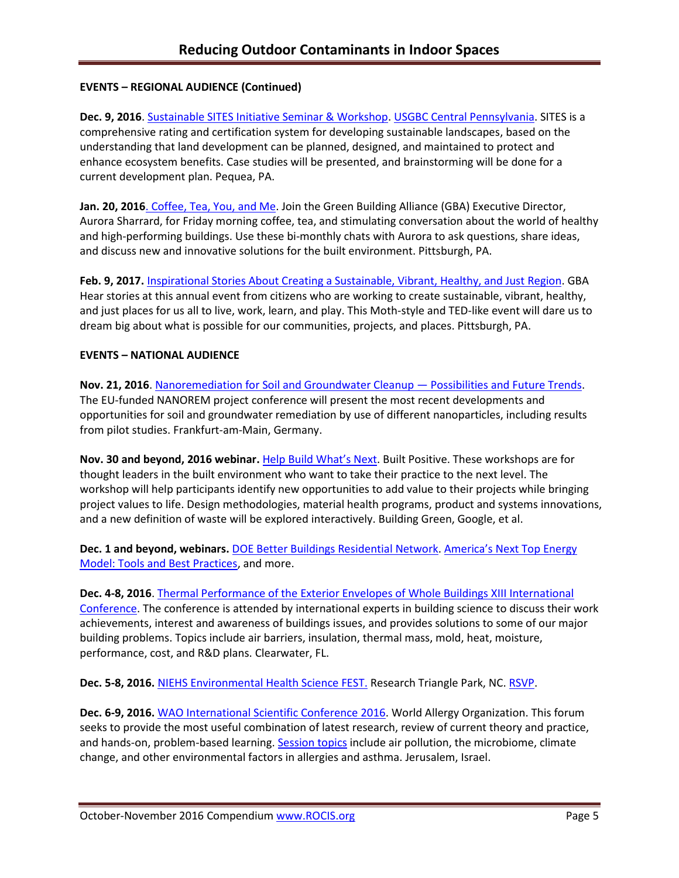## **EVENTS – REGIONAL AUDIENCE (Continued)**

**Dec. 9, 2016**. [Sustainable SITES Initiative Seminar & Workshop.](http://www.usgbc.org/event/sustainable-sites-initiative-seminar-workshop) [USGBC Central Pennsylvania.](http://www.usgbc.org/usgbc-central-pennsylvania) SITES is a comprehensive rating and certification system for developing sustainable landscapes, based on the understanding that land development can be planned, designed, and maintained to protect and enhance ecosystem benefits. Case studies will be presented, and brainstorming will be done for a current development plan. Pequea, PA.

**Jan. 20, 2016**[. Coffee, Tea, You, and Me.](https://www.go-gba.org/events/coffee-tea-you-and-me/) Join the Green Building Alliance (GBA) Executive Director, Aurora Sharrard, for Friday morning coffee, tea, and stimulating conversation about the world of healthy and high-performing buildings. Use these bi-monthly chats with Aurora to ask questions, share ideas, and discuss new and innovative solutions for the built environment. Pittsburgh, PA.

**Feb. 9, 2017.** [Inspirational Stories About Creating a Sustainable, Vibrant, Healthy, and Just Region.](https://www.go-gba.org/events/inspire-speakers-series-presents-inspirational-stories-creating-sustainable-vibrant-healthy-just-region/) GBA Hear stories at this annual event from citizens who are working to create sustainable, vibrant, healthy, and just places for us all to live, work, learn, and play. This Moth-style and TED-like event will dare us to dream big about what is possible for our communities, projects, and places. Pittsburgh, PA.

## **EVENTS – NATIONAL AUDIENCE**

**Nov. 21, 2016**. [Nanoremediation for Soil and Groundwater Cleanup](http://www.nanorem.eu/Displaynews.aspx?ID=895) — Possibilities and Future Trends. The EU-funded NANOREM project conference will present the most recent developments and opportunities for soil and groundwater remediation by use of different nanoparticles, including results from pilot studies. Frankfurt-am-Main, Germany.

**Nov. 30 and beyond, 2016 webinar.** [Help Build What's Next](http://www.c2ccertified.org/connect/built-positive-workshop-series?mc_cid=ede5f5e520&mc_eid=eb65409191). Built Positive. These workshops are for thought leaders in the built environment who want to take their practice to the next level. The workshop will help participants identify new opportunities to add value to their projects while bringing project values to life. Design methodologies, material health programs, product and systems innovations, and a new definition of waste will be explored interactively. Building Green, Google, et al.

**Dec. 1 and beyond, webinars.** [DOE Better Buildings Residential Network.](http://energy.gov/eere/better-buildings-residential-network/better-buildings-residential-network) [America's Next Top Energy](http://energy.gov/eere/better-buildings-residential-network/events/america-s-next-top-energy-model-tools-and-best)  [Model: Tools and Best Practices,](http://energy.gov/eere/better-buildings-residential-network/events/america-s-next-top-energy-model-tools-and-best) and more.

**Dec. 4-8, 2016**. [Thermal Performance of the Exterior Envelopes of Whole Buildings XIII International](http://web.ornl.gov/sci/buildings/2016/)  [Conference.](http://web.ornl.gov/sci/buildings/2016/) The conference is attended by international experts in building science to discuss their work achievements, interest and awareness of buildings issues, and provides solutions to some of our major building problems. Topics include air barriers, insulation, thermal mass, mold, heat, moisture, performance, cost, and R&D plans. Clearwater, FL.

**Dec. 5-8, 2016.** [NIEHS Environmental Health Science FEST.](http://tools.niehs.nih.gov/conference/ehs_fest/) Research Triangle Park, NC. [RSVP.](https://www.surveymonkey.com/r/EHSFESTRSVP)

**Dec. 6-9, 2016.** [WAO International Scientific Conference](http://www.worldallergy.org/wisc2016) 2016. World Allergy Organization. This forum seeks to provide the most useful combination of latest research, review of current theory and practice, and hands-on, problem-based learning[. Session topics](http://www.dekon.com.tr/WISC2016/program/Default.asp) include air pollution, the microbiome, climate change, and other environmental factors in allergies and asthma. Jerusalem, Israel.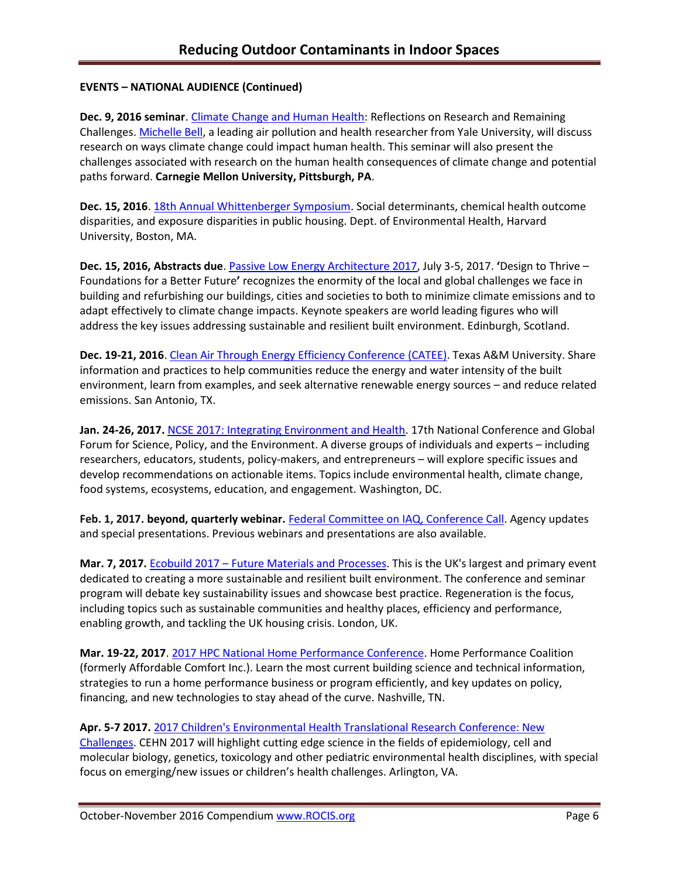## **EVENTS – NATIONAL AUDIENCE (Continued)**

**Dec. 9, 2016 seminar**. [Climate Change and Human Health:](http://www.cmu.edu/cee/events/seminar.html) Reflections on Research and Remaining Challenges[. Michelle Bell,](http://bell-lab.yale.edu/) a leading air pollution and health researcher from Yale University, will discuss research on ways climate change could impact human health. This seminar will also present the challenges associated with research on the human health consequences of climate change and potential paths forward. **Carnegie Mellon University, Pittsburgh, PA**.

**Dec. 15, 2016**[. 18th Annual Whittenberger Symposium.](https://www.hsph.harvard.edu/environmental-health/event/18-annual-whittenberger-symposium/?instance_id=1) Social determinants, chemical health outcome disparities, and exposure disparities in public housing. Dept. of Environmental Health, Harvard University, Boston, MA.

**Dec. 15, 2016, Abstracts due**[. Passive Low Energy Architecture 2017,](https://plea2017.net/) July 3-5, 2017. **'**Design to Thrive – Foundations for a Better Future**'** recognizes the enormity of the local and global challenges we face in building and refurbishing our buildings, cities and societies to both to minimize climate emissions and to adapt effectively to climate change impacts. Keynote speakers are world leading figures who will address the key issues addressing sustainable and resilient built environment. Edinburgh, Scotland.

**Dec. 19-21, 2016**. [Clean Air Through Energy Efficiency Conference \(CATEE\).](http://catee.tamu.edu/home) Texas A&M University. Share information and practices to help communities reduce the energy and water intensity of the built environment, learn from examples, and seek alternative renewable energy sources – and reduce related emissions. San Antonio, TX.

**Jan. 24-26, 2017.** [NCSE 2017: Integrating Environment and Health.](http://www.ncseconference.org/) 17th National Conference and Global Forum for Science, Policy, and the Environment. A diverse groups of individuals and experts – including researchers, educators, students, policy-makers, and entrepreneurs – will explore specific issues and develop recommendations on actionable items. Topics include environmental health, climate change, food systems, ecosystems, education, and engagement. Washington, DC.

**Feb. 1, 2017. beyond, quarterly webinar.** [Federal Committee on IAQ, Conference Call.](https://www.epa.gov/indoor-air-quality-iaq/federal-interagency-committee-indoor-air-quality) Agency updates and special presentations. Previous webinars and presentations are also available.

**Mar. 7, 2017.** Ecobuild 2017 – [Future Materials and Processes.](http://www.arcc-network.org.uk/arcc-ecobuild-2017/) This is the UK's largest and primary event dedicated to creating a more sustainable and resilient built environment. The conference and seminar program will debate key sustainability issues and showcase best practice. Regeneration is the focus, including topics such as sustainable communities and healthy places, efficiency and performance, enabling growth, and tackling the UK housing crisis. London, UK.

**Mar. 19-22, 2017**. [2017 HPC National Home Performance Conference.](http://www.homeperformance.org/conference/2017-hpc-national-home-performance-conference-trade-show) Home Performance Coalition (formerly Affordable Comfort Inc.). Learn the most current building science and technical information, strategies to run a home performance business or program efficiently, and key updates on policy, financing, and new technologies to stay ahead of the curve. Nashville, TN.

## **Apr. 5-7 2017.** [2017 Children's Environmental Health Translational Research Conference: New](http://www.cehn.org/join-us/conference/)

[Challenges.](http://www.cehn.org/join-us/conference/) CEHN 2017 will highlight cutting edge science in the fields of epidemiology, cell and molecular biology, genetics, toxicology and other pediatric environmental health disciplines, with special focus on emerging/new issues or children's health challenges. Arlington, VA.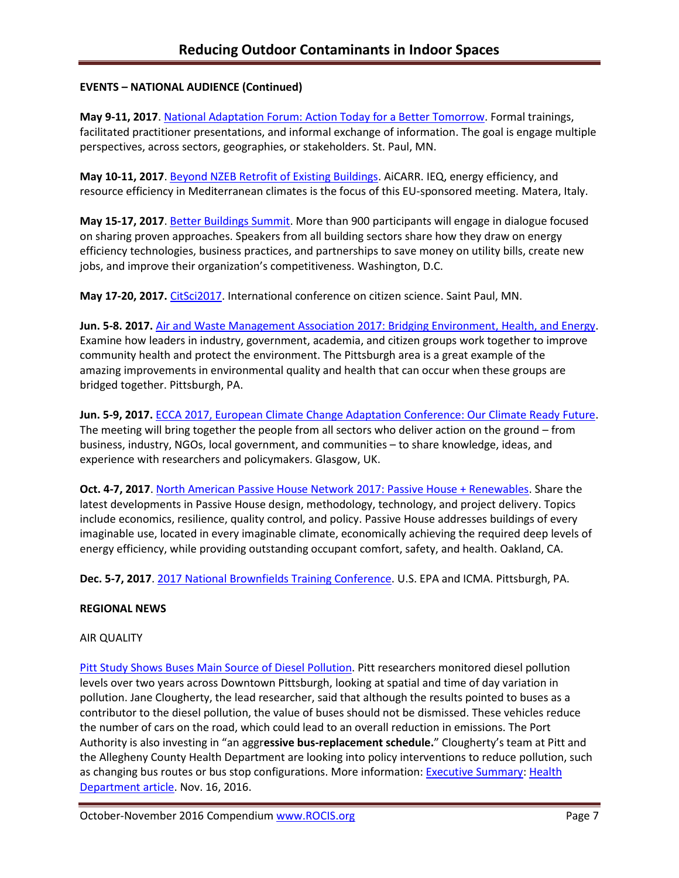## **EVENTS – NATIONAL AUDIENCE (Continued)**

**May 9-11, 2017**. National Adaptation Forum: [Action Today for a Better Tomorrow.](http://www.nationaladaptationforum.org/?utm_source=Registration+Now+Open+and+CfP+Reminder+3&utm_campaign=CfP+5+Days+Announcement&utm_medium=email) Formal trainings, facilitated practitioner presentations, and informal exchange of information. The goal is engage multiple perspectives, across sectors, geographies, or stakeholders. St. Paul, MN.

**May 10-11, 2017**. [Beyond NZEB Retrofit of Existing Buildings.](http://www.aicarr.org/Pages/EN/Upcoming%20Events/2016/50AiCARR.aspx) AiCARR. IEQ, energy efficiency, and resource efficiency in Mediterranean climates is the focus of this EU-sponsored meeting. Matera, Italy.

**May 15-17, 2017**[. Better Buildings Summit.](https://betterbuildingsinitiative.energy.gov/summit) More than 900 participants will engage in dialogue focused on sharing proven approaches. Speakers from all building sectors share how they draw on energy efficiency technologies, business practices, and partnerships to save money on utility bills, create new jobs, and improve their organization's competitiveness. Washington, D.C.

**May 17-20, 2017.** [CitSci2017.](http://citizenscience.org/2016/07/13/citsci2017-may-17-20th-in-saint-paul-minnesota/) International conference on citizen science. Saint Paul, MN.

**Jun. 5-8. 2017.** Air and Waste Management Association [2017: Bridging Environment, Health, and Energy.](http://www.awma.org/events-webinars/upcoming-events/ACE2017/about-the-conference) Examine how leaders in industry, government, academia, and citizen groups work together to improve community health and protect the environment. The Pittsburgh area is a great example of the amazing improvements in environmental quality and health that can occur when these groups are bridged together. Pittsburgh, PA.

**Jun. 5-9, 2017.** [ECCA 2017, European Climate Change Adaptation Conference: Our Climate Ready Future.](http://ecca2017.eu/conference/) The meeting will bring together the people from all sectors who deliver action on the ground – from business, industry, NGOs, local government, and communities – to share knowledge, ideas, and experience with researchers and policymakers. Glasgow, UK.

**Oct. 4-7, 2017**[. North American Passive House Network 2017: Passive House + Renewables.](http://naphnetwork.org/conference/) Share the latest developments in Passive House design, methodology, technology, and project delivery. Topics include economics, resilience, quality control, and policy. Passive House addresses buildings of every imaginable use, located in every imaginable climate, economically achieving the required deep levels of energy efficiency, while providing outstanding occupant comfort, safety, and health. Oakland, CA.

**Dec. 5-7, 2017**. [2017 National Brownfields Training Conference.](https://www.epa.gov/brownfields/2017-national-brownfields-training-conference) U.S. EPA and ICMA. Pittsburgh, PA.

## **REGIONAL NEWS**

## AIR QUALITY

[Pitt Study Shows Buses Main Source](http://pittnews.com/article/113846/top-stories/pitt-study-shows-buses-main-source-diesel-pollution/) of Diesel Pollution. Pitt researchers monitored diesel pollution levels over two years across Downtown Pittsburgh, looking at spatial and time of day variation in pollution. Jane Clougherty, the lead researcher, said that although the results pointed to buses as a contributor to the diesel pollution, the value of buses should not be dismissed. These vehicles reduce the number of cars on the road, which could lead to an overall reduction in emissions. The Port Authority is also investing in "an aggr**essive bus-replacement schedule.**" Clougherty's team at Pitt and the Allegheny County Health Department are looking into policy interventions to reduce pollution, such as changing bus routes or bus stop configurations. More information: [Executive Summary:](http://www.achd.net/air/diesel.html) [Health](http://www.achd.net/air/pubs/EcoCurrents/2016_July-Sept.pdf)  [Department article.](http://www.achd.net/air/pubs/EcoCurrents/2016_July-Sept.pdf) Nov. 16, 2016.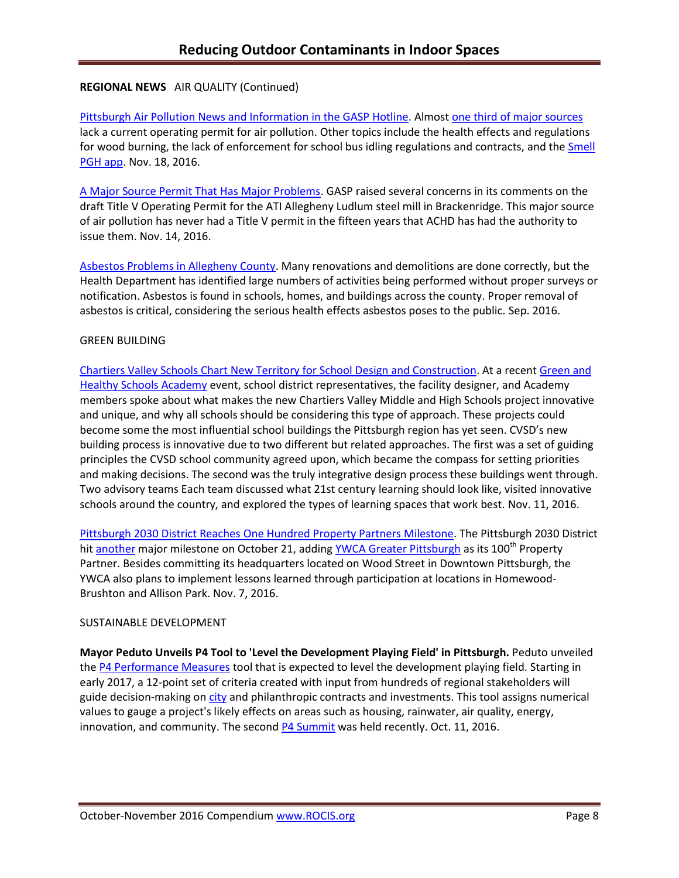## **REGIONAL NEWS** AIR QUALITY (Continued)

[Pittsburgh Air Pollution News](http://gasp-pgh.org/wp-content/uploads/hotline-2016fall-web.pdf) and Information in the GASP Hotline. Almos[t one third of major sources](http://gasp-pgh.org/2016/09/28/almost-one-third-of-major-sources-of-air-pollution-in-southwestern-pa-do-not-have-a-current-operating-permit/) lack a current operating permit for air pollution. Other topics include the health effects and regulations for wood burning, the lack of enforcement for school bus idling regulations and contracts, and the Smell [PGH app.](http://www.cmucreatelab.org/projects/Smell_Pittsburgh) Nov. 18, 2016.

[A Major Source Permit That Has Major Problems.](http://gasp-pgh.org/2016/11/14/a-major-source-permit-that-has-major-problems/) GASP raised several concerns in its comments on the draft Title V Operating Permit for the ATI Allegheny Ludlum steel mill in Brackenridge. This major source of air pollution has never had a Title V permit in the fifteen years that ACHD has had the authority to issue them. Nov. 14, 2016.

[Asbestos Problems in Allegheny County.](http://www.achd.net/air/pubs/EcoCurrents/2016_July-Sept.pdf) Many renovations and demolitions are done correctly, but the Health Department has identified large numbers of activities being performed without proper surveys or notification. Asbestos is found in schools, homes, and buildings across the county. Proper removal of asbestos is critical, considering the serious health effects asbestos poses to the public. Sep. 2016.

### GREEN BUILDING

Chartiers Valley Schools Chart [New Territory for School Design and Construction.](https://www.go-gba.org/chartiers-valley-school-district-charting-new-territory-school-design-construction/) At a recen[t Green and](http://www.greenandhealthyschoolsacademy.org/)  [Healthy Schools Academy](http://www.greenandhealthyschoolsacademy.org/) event, school district representatives, the facility designer, and Academy members spoke about what makes the new Chartiers Valley Middle and High Schools project innovative and unique, and why all schools should be considering this type of approach. These projects could become some the most influential school buildings the Pittsburgh region has yet seen. CVSD's new building process is innovative due to two different but related approaches. The first was a set of guiding principles the CVSD school community agreed upon, which became the compass for setting priorities and making decisions. The second was the truly integrative design process these buildings went through. Two advisory teams Each team discussed what 21st century learning should look like, visited innovative schools around the country, and explored the types of learning spaces that work best. Nov. 11, 2016.

[Pittsburgh 2030 District Reaches One Hundred Property Partners Milestone.](https://www.go-gba.org/one-hundred-property-partners-milestone-success/) The Pittsburgh 2030 District hi[t another](https://www.go-gba.org/pittsburgh-2030-district-exceeds-three-milestone-reduction-targets-2015/) major milestone on October 21, adding [YWCA Greater Pittsburgh](https://www.ywcapgh.org/) as its 100<sup>th</sup> Property Partner. Besides committing its headquarters located on Wood Street in Downtown Pittsburgh, the YWCA also plans to implement lessons learned through participation at locations in Homewood-Brushton and Allison Park. Nov. 7, 2016.

## SUSTAINABLE DEVELOPMENT

**Mayor Peduto Unveils P4 Tool to 'Level the Development Playing Field' in Pittsburgh.** Peduto unveiled th[e P4 Performance Measures](http://www.p4pittsburgh.org/) tool that is expected to level the development playing field. Starting in early 2017, a 12-point set of criteria created with input from hundreds of regional stakeholders will guide decision-making on [city](http://www.post-gazette.com/business/development/2016/10/12/Pittsburgh-Mayor-Bill-Peduto-reveals-plan-for-building-projects/stories/201610120076) and philanthropic contracts and investments. This tool assigns numerical values to gauge a project's likely effects on areas such as housing, rainwater, air quality, energy, innovation, and community. The second [P4 Summit](http://www.p4pittsburgh.org/pages/2016-speakers) was held recently. Oct. 11, 2016.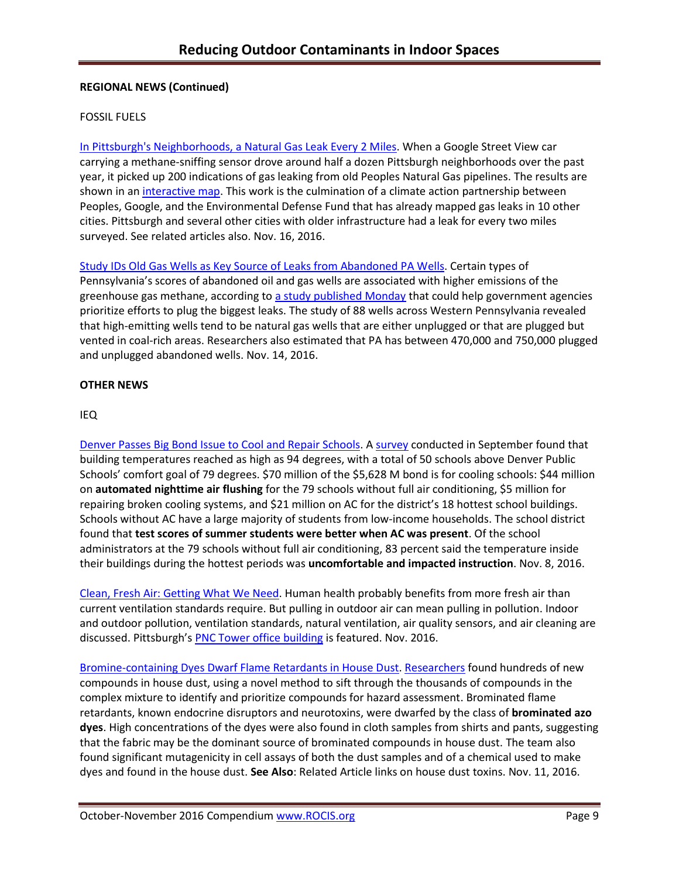# **REGIONAL NEWS (Continued)**

## FOSSIL FUELS

[In Pittsburgh's Neighborhoods, a Natural Gas Leak Every 2 Miles.](http://powersource.post-gazette.com/powersource/policy-powersource/2016/11/15/A-natural-gas-leak-every-two-miles-in-Pittsburgh-neighborhoods/stories/201611160069) When a Google Street View car carrying a methane-sniffing sensor drove around half a dozen Pittsburgh neighborhoods over the past year, it picked up 200 indications of gas leaking from old Peoples Natural Gas pipelines. The results are shown in a[n interactive map.](https://www.edf.org/climate/methanemaps) This work is the culmination of a climate action partnership between Peoples, Google, and the Environmental Defense Fund that has already mapped gas leaks in 10 other cities. Pittsburgh and several other cities with older infrastructure had a leak for every two miles surveyed. See related articles also. Nov. 16, 2016.

[Study IDs Old Gas Wells as Key Source of Leaks from Abandoned PA Wells.](http://powersource.post-gazette.com/powersource/policy-powersource/2016/11/14/Study-pinpoints-leakiest-abandoned-oil-and-gas-wells/stories/201611140178) Certain types of Pennsylvania's scores of abandoned oil and gas wells are associated with higher emissions of the greenhouse gas methane, according to [a study published Monday](http://www.pnas.org/content/early/2016/11/08/1605913113) that could help government agencies prioritize efforts to plug the biggest leaks. The study of 88 wells across Western Pennsylvania revealed that high-emitting wells tend to be natural gas wells that are either unplugged or that are plugged but vented in coal-rich areas. Researchers also estimated that PA has between 470,000 and 750,000 plugged and unplugged abandoned wells. Nov. 14, 2016.

## **OTHER NEWS**

### IEQ

[Denver Passes Big Bond Issue to Cool and Repair Schools.](http://www.denverpost.com/2016/11/08/colorado-school-bond-issue-election-results/) A [survey](file:///C:/Users/lwigington/Downloads/A%20survey%20conducted%20in%20September%20found%20that%20building%20temperatures%20reached%20as%20high%20as%2094%20degrees,%20with%20a%20total%20of%2050%20schools%20above%20Denver%20Public%20Schools%25E2%2580%2599%20comfort%20goal%20of%2079%20degrees) conducted in September found that building temperatures reached as high as 94 degrees, with a total of 50 schools above Denver Public Schools' comfort goal of 79 degrees. \$70 million of the \$5,628 M bond is for cooling schools: \$44 million on **automated nighttime air flushing** for the 79 schools without full air conditioning, \$5 million for repairing broken cooling systems, and \$21 million on AC for the district's 18 hottest school buildings. Schools without AC have a large majority of students from low-income households. The school district found that **test scores of summer students were better when AC was present**. Of the school administrators at the 79 schools without full air conditioning, 83 percent said the temperature inside their buildings during the hottest periods was **uncomfortable and impacted instruction**. Nov. 8, 2016.

[Clean, Fresh Air: Getting What](https://www.buildinggreen.com/sites/default/files/ebn/EBN_25-11.pdf) We Need. Human health probably benefits from more fresh air than current ventilation standards require. But pulling in outdoor air can mean pulling in pollution. Indoor and outdoor pollution, ventilation standards, natural ventilation, air quality sensors, and air cleaning are discussed. Pittsburgh's [PNC Tower office building](https://www.go-gba.org/tower-pnc-plaza-workplace-future/) is featured. Nov. 2016.

[Bromine-containing Dyes Dwarf Flame Retardants in House Dust.](http://cen.acs.org/articles/94/web/2016/11/Bromine-containing-dyes-dwarf-flame.html) [Researchers](http://pubs.acs.org/doi/abs/10.1021/acs.est.6b03954) found hundreds of new compounds in house dust, using a novel method to sift through the thousands of compounds in the complex mixture to identify and prioritize compounds for hazard assessment. Brominated flame retardants, known endocrine disruptors and neurotoxins, were dwarfed by the class of **brominated azo dyes**. High concentrations of the dyes were also found in cloth samples from shirts and pants, suggesting that the fabric may be the dominant source of brominated compounds in house dust. The team also found significant mutagenicity in cell assays of both the dust samples and of a chemical used to make dyes and found in the house dust. **See Also**: Related Article links on house dust toxins. Nov. 11, 2016.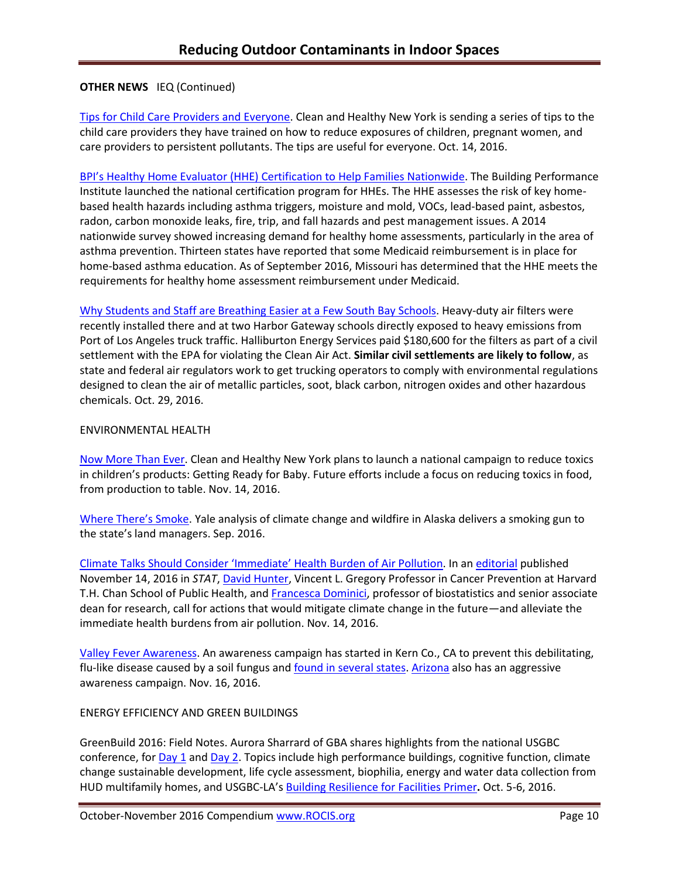## **OTHER NEWS** IEQ (Continued)

[Tips for Child Care Providers and Everyone.](http://www.cleanhealthyny.org/) Clean and Healthy New York is sending a series of tips to the child care providers they have trained on how to reduce exposures of children, pregnant women, and care providers to persistent pollutants. The tips are useful for everyone. Oct. 14, 2016.

BPI'[s Healthy Home Evaluator \(HHE\) Certification to Help Families Nationwide.](http://www.asthmacommunitynetwork.org/node/16478) The Building Performance Institute launched the national certification program for HHEs. The HHE assesses the risk of key homebased health hazards including asthma triggers, moisture and mold, VOCs, lead-based paint, asbestos, radon, carbon monoxide leaks, fire, trip, and fall hazards and pest management issues. A 2014 nationwide survey showed increasing demand for healthy home assessments, particularly in the area of asthma prevention. Thirteen states have reported that some Medicaid reimbursement is in place for home-based asthma education. As of September 2016, Missouri has determined that the HHE meets the requirements for healthy home assessment reimbursement under Medicaid.

[Why Students and Staff are Breathing Easier at a Few South Bay Schools.](http://www.dailybreeze.com/environment-and-nature/20161029/why-students-and-staff-are-breathing-easier-at-a-few-south-bay-schools) Heavy-duty air filters were recently installed there and at two Harbor Gateway schools directly exposed to heavy emissions from Port of Los Angeles truck traffic. Halliburton Energy Services paid \$180,600 for the filters as part of a civil settlement with the EPA for violating the Clean Air Act. **Similar civil settlements are likely to follow**, as state and federal air regulators work to get trucking operators to comply with environmental regulations designed to clean the air of metallic particles, soot, black carbon, nitrogen oxides and other hazardous chemicals. Oct. 29, 2016.

### ENVIRONMENTAL HEALTH

[Now More Than Ever.](http://www.cleanhealthyny.org/blog) Clean and Healthy New York plans to launch a national campaign to reduce toxics in children's products: Getting Ready for Baby. Future efforts include a focus on reducing toxics in food, from production to table. Nov. 14, 2016.

[Where There's Smoke](https://yibsfieldnotes.atavist.com/lucia_w). Yale analysis of climate change and wildfire in Alaska delivers a smoking gun to the state's land managers. Sep. 2016.

[Climate Talks Should Consider 'Immediate' Health Burden of Air P](https://www.hsph.harvard.edu/news/hsph-in-the-news/climate-talks-should-consider-immediate-health-burden-of-air-pollution/)ollution. In an [editorial](https://www.statnews.com/2016/11/14/climate-change-agreements/) published November 14, 2016 in *STAT*, [David Hunter,](https://www.hsph.harvard.edu/david-hunter/) Vincent L. Gregory Professor in Cancer Prevention at Harvard T.H. Chan School of Public Health, an[d Francesca Dominici,](https://www.hsph.harvard.edu/francesca-dominici/) professor of biostatistics and senior associate dean for research, call for actions that would mitigate climate change in the future—and alleviate the immediate health burdens from air pollution. Nov. 14, 2016.

[Valley Fever Awareness.](http://www.kerngoldenempire.com/news/valley-fever-awareness) An awareness campaign has started in Kern Co., CA to prevent this debilitating, flu-like disease caused by a soil fungus and [found in several states.](http://www.cdc.gov/features/valleyfever/) [Arizona](http://vfce.arizona.edu/research/ongoing-work-vfce) also has an aggressive awareness campaign. Nov. 16, 2016.

## ENERGY EFFICIENCY AND GREEN BUILDINGS

GreenBuild [2016: Field Notes.](https://www.go-gba.org/greenbuild-2016-notes-field-day-1/) Aurora Sharrard of GBA shares highlights from the national USGBC conference, for [Day 1](https://www.go-gba.org/greenbuild-2016-notes-field-day-1/) and [Day 2.](https://www.go-gba.org/greenbuild-2016-notes-field-summit-day/) Topics include high performance buildings, cognitive function, climate change sustainable development, life cycle assessment, biophilia, energy and water data collection from HUD multifamily homes, and USGBC-LA's [Building Resilience for Facilities Primer](http://www.resilience.la/)**.** Oct. 5-6, 2016.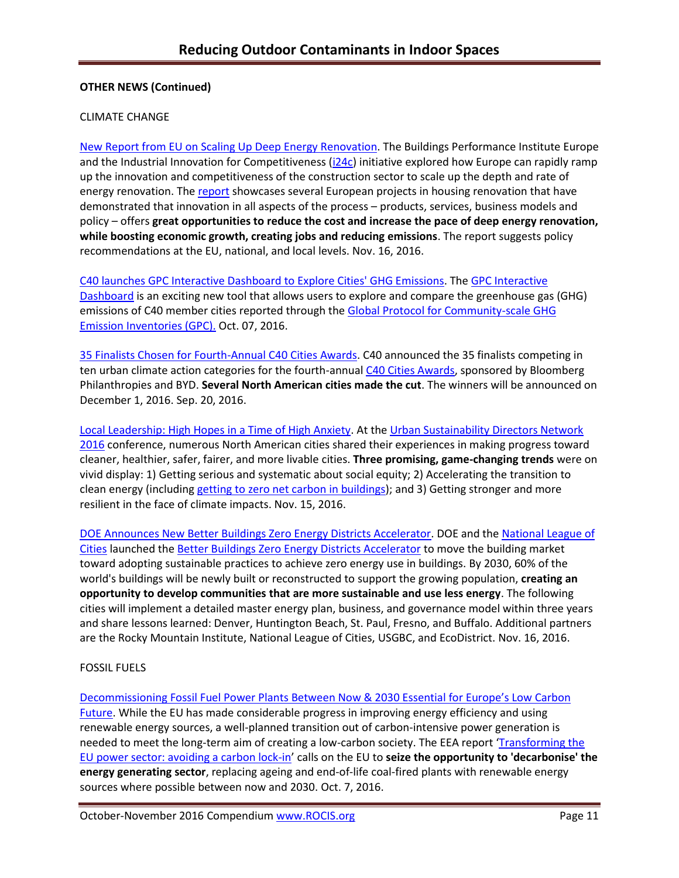## **OTHER NEWS (Continued)**

## CLIMATE CHANGE

[New Report from EU on Scaling Up Deep Energy Renovation.](http://www.buildup.eu/en/news/new-report-bpie-and-i24-scaling-deep-energy-renovation) The Buildings Performance Institute Europe and the Industrial Innovation for Competitiveness [\(i24c\)](http://i2-4c.eu/) initiative explored how Europe can rapidly ramp up the innovation and competitiveness of the construction sector to scale up the depth and rate of energy renovation. Th[e report](http://i2-4c.eu/deep-energy-renovations/) showcases several European projects in housing renovation that have demonstrated that innovation in all aspects of the process – products, services, business models and policy – offers **great opportunities to reduce the cost and increase the pace of deep energy renovation, while boosting economic growth, creating jobs and reducing emissions**. The report suggests policy recommendations at the EU, national, and local levels. Nov. 16, 2016.

[C40 launches GPC Interactive Dashboard to Explore Cities' GHG Emissions.](http://www.c40.org/blog_posts/c40-launches-gpc-interactive-dashboard-to-explore-cities-ghg-emissions) The [GPC Interactive](http://www.c40.org/other/gpc-dashboard)  [Dashboard](http://www.c40.org/other/gpc-dashboard) is an exciting new tool that allows users to explore and compare the greenhouse gas (GHG) emissions of C40 member cities reported through the Global Protocol for Community-scale GHG [Emission Inventories \(GPC\).](http://www.c40.org/gpc) Oct. 07, 2016.

[35 Finalists Chosen for Fourth-Annual C40 Cities Awards.](http://www.c40.org/blog_posts/35-finalists-chosen-for-fourth-annual-c40-cities-awards) C40 announced the 35 finalists competing in ten urban climate action categories for the fourth-annual [C40 Cities Awards,](http://www.c40.org/awards) sponsored by Bloomberg Philanthropies and BYD. **Several North American cities made the cut**. The winners will be announced on December 1, 2016. Sep. 20, 2016.

[Local Leadership: High Hopes in a Time of High Anxiety.](http://www.iscvt.org/local-leadership/) At th[e Urban Sustainability Directors Network](https://www.facebook.com/theUSDN/)  [2016](https://www.facebook.com/theUSDN/) conference, numerous North American cities shared their experiences in making progress toward cleaner, healthier, safer, fairer, and more livable cities. **Three promising, game-changing trends** were on vivid display: 1) Getting serious and systematic about social equity; 2) Accelerating the transition to clean energy (includin[g getting to zero net carbon in buildings\)](http://architecture2030.org/zero-net-carbon-a-new-definition/); and 3) Getting stronger and more resilient in the face of climate impacts. Nov. 15, 2016.

[DOE Announces New Better Buildings Zero Energy Districts Accelerator.](http://energy.gov/eere/articles/energy-department-announces-partnerships-under-new-better-buildings-zero-energy) DOE and th[e National League of](http://energy.gov/exit?url=http%3A//www.nlc.org/)  [Cities](http://energy.gov/exit?url=http%3A//www.nlc.org/) launched the [Better Buildings Zero Energy Districts Accelerator](https://betterbuildingsinitiative.energy.gov/accelerators/zero-energy-district) to move the building market toward adopting sustainable practices to achieve zero energy use in buildings. By 2030, 60% of the world's buildings will be newly built or reconstructed to support the growing population, **creating an opportunity to develop communities that are more sustainable and use less energy**. The following cities will implement a detailed master energy plan, business, and governance model within three years and share lessons learned: Denver, Huntington Beach, St. Paul, Fresno, and Buffalo. Additional partners are the Rocky Mountain Institute, National League of Cities, USGBC, and EcoDistrict. Nov. 16, 2016.

## FOSSIL FUELS

Decommissioning Fossil Fuel Power [Plants Between Now & 2030 Essential for Europe's Low Carbon](http://www.eea.europa.eu/highlights/decommissioning-fossil-fuel-power-plants)  [Future.](http://www.eea.europa.eu/highlights/decommissioning-fossil-fuel-power-plants) While the EU has made considerable progress in improving energy efficiency and using renewable energy sources, a well-planned transition out of carbon-intensive power generation is needed to meet the long-term aim of creating a low-carbon society. The EEA report '[Transforming the](http://www.eea.europa.eu/publications/transforming-the-eu-power-sector/)  [EU power sector: avoiding a carbon lock-in](http://www.eea.europa.eu/publications/transforming-the-eu-power-sector/)' calls on the EU to **seize the opportunity to 'decarbonise' the energy generating sector**, replacing ageing and end-of-life coal-fired plants with renewable energy sources where possible between now and 2030. Oct. 7, 2016.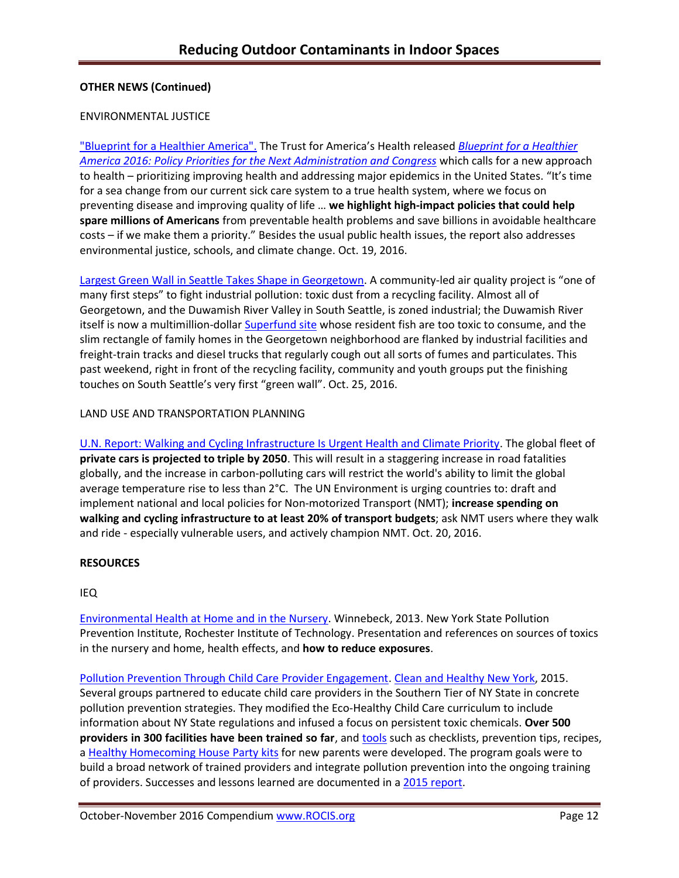## **OTHER NEWS (Continued)**

#### ENVIRONMENTAL JUSTICE

["Blueprint for a Healthier America".](http://healthyamericans.org/report/129) The Trust for America's Health released *[Blueprint for a Healthier](http://healthyamericans.org/report/129)  [America 2016: Policy Priorities for the Next Administration and Congress](http://healthyamericans.org/report/129)* which calls for a new approach to health – prioritizing improving health and addressing major epidemics in the United States. "It's time for a sea change from our current sick care system to a true health system, where we focus on preventing disease and improving quality of life … **we highlight high-impact policies that could help spare millions of Americans** from preventable health problems and save billions in avoidable healthcare costs – if we make them a priority." Besides the usual public health issues, the report also addresses environmental justice, schools, and climate change. Oct. 19, 2016.

[Largest Green Wall in Seattle Takes Shape in Georgetown.](http://www.seattleweekly.com/news/largest-green-wall-in-seattle-takes-shape-in-georgetown/) A community-led air quality project is "one of many first steps" to fight industrial pollution: toxic dust from a recycling facility. Almost all of Georgetown, and the Duwamish River Valley in South Seattle, is zoned industrial; the Duwamish River itself is now a multimillion-dolla[r Superfund site](https://yosemite.epa.gov/r10/cleanup.nsf/sites/lduwamish) whose resident fish are too toxic to consume, and the slim rectangle of family homes in the Georgetown neighborhood are flanked by industrial facilities and freight-train tracks and diesel trucks that regularly cough out all sorts of fumes and particulates. This past weekend, right in front of the recycling facility, community and youth groups put the finishing touches on South Seattle's very first "green wall". Oct. 25, 2016.

### LAND USE AND TRANSPORTATION PLANNING

[U.N. Report: Walking and Cycling Infrastructure Is Urgent Health and Climate Priority.](http://www.unep.org/newscentre/default.aspx?DocumentID=27086&ArticleID=36285) The global fleet of **private cars is projected to triple by 2050**. This will result in a staggering increase in road fatalities globally, and the increase in carbon-polluting cars will restrict the world's ability to limit the global average temperature rise to less than 2°C. The UN Environment is urging countries to: draft and implement national and local policies for Non-motorized Transport (NMT); **increase spending on walking and cycling infrastructure to at least 20% of transport budgets**; ask NMT users where they walk and ride - especially vulnerable users, and actively champion NMT. Oct. 20, 2016.

## **RESOURCES**

#### IEQ

[Environmental Health at Home and](https://www.google.com/url?sa=t&rct=j&q=&esrc=s&source=web&cd=1&cad=rja&uact=8&ved=0ahUKEwiiqf-S-rLQAhXL1CYKHVQbDIMQFggdMAA&url=https%3A%2F%2Fwww.rit.edu%2Faffiliate%2Fnysp2i%2Fsites%2Frit.edu.affiliate.nysp2i%2Ffiles%2Fdocs%2Fworkshops%2F3%2520-rgh_environmental_health_at_home__in_the_nursery_nov13_0.pdf&usg=AFQjCNEy5Qsmvf2RzPe9E7o1hZjkoXGY-w&sig2=82rwwIagS3I86niJF4lyTw) in the Nursery. Winnebeck, 2013. New York State Pollution Prevention Institute, Rochester Institute of Technology. Presentation and references on sources of toxics in the nursery and home, health effects, and **how to reduce exposures**.

[Pollution Prevention Through Child Care Provider Engagement.](https://www.rit.edu/affiliate/nysp2i/sites/rit.edu.affiliate.nysp2i/files/docs/case-studies/06-NYSP2I-CHNY_final_0.pdf) [Clean and Healthy New York,](http://www.cleanhealthyny.org/) 2015. Several groups partnered to educate child care providers in the Southern Tier of NY State in concrete pollution prevention strategies. They modified the Eco-Healthy Child Care curriculum to include information about NY State regulations and infused a focus on persistent toxic chemicals. **Over 500 providers in 300 facilities have been trained so far**, and **tools** such as checklists, prevention tips, recipes, a [Healthy Homecoming House Party kits](http://www.cleanhealthyny.org/house-party-kits) for new parents were developed. The program goals were to build a broad network of trained providers and integrate pollution prevention into the ongoing training of providers. Successes and lessons learned are documented in [a 2015 report.](http://media.wix.com/ugd/a2c2a6_e3c3133dc6c8415ba201a6e4caedb162.pdf)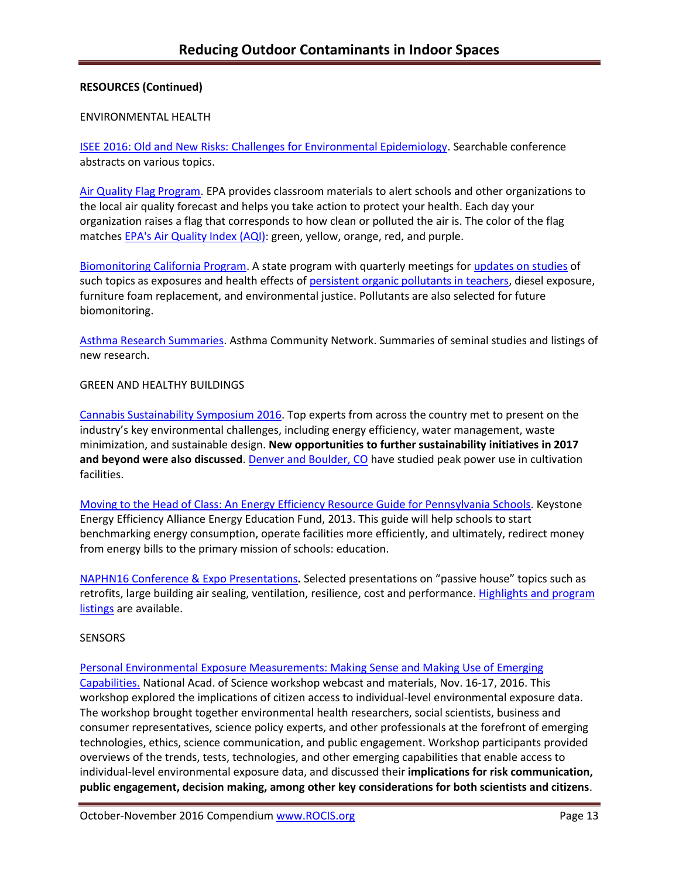## **RESOURCES (Continued)**

### ENVIRONMENTAL HEALTH

[ISEE 2016: Old and New Risks: Challenges for Environmental Epidemiology.](http://ehp03.niehs.nih.gov/isee/isee-2016/) Searchable conference abstracts on various topics.

[Air Quality Flag Program.](https://www.airnow.gov/index.cfm?action=flag_program.educational) EPA provides classroom materials to alert schools and other organizations to the local air quality forecast and helps you take action to protect your health. Each day your organization raises a flag that corresponds to how clean or polluted the air is. The color of the flag matche[s EPA's Air Quality Index \(AQI\):](http://usepa.pr-optout.com/Tracking.aspx?Data=HHL%3d8%2c82%3a3-%3eLCE583339%26SDG%3c90%3a.&RE=IN&RI=1910017&Preview=False&DistributionActionID=33553&Action=Follow+Link) green, yellow, orange, red, and purple.

[Biomonitoring California Program.](http://biomonitoring.ca.gov/) A state program with quarterly meetings for updates [on studies](http://www.biomonitoring.ca.gov/events/biomonitoring-california-scientific-guidance-panel-meeting-november-2016) of such topics as exposures and health effects of [persistent organic pollutants in teachers,](http://www.biomonitoring.ca.gov/sites/default/files/downloads/Reynolds110316.pdf) diesel exposure, furniture foam replacement, and environmental justice. Pollutants are also selected for future biomonitoring.

[Asthma Research Summaries.](http://www.asthmacommunitynetwork.org/AsthmaResearch?utm_content=&utm_medium=email&utm_name=&utm_source=govdelivery&utm_term=) Asthma Community Network. Summaries of seminal studies and listings of new research.

### GREEN AND HEALTHY BUILDINGS

[Cannabis Sustainability Symposium 2016.](http://www.cannabissustainability.org/) Top experts from across the country met to present on the industry's key environmental challenges, including energy efficiency, water management, waste minimization, and sustainable design. **New opportunities to further sustainability initiatives in 2017**  and beyond were also discussed. [Denver and Boulder, CO](file:///C:/Users/lwigington/Downloads/cultivation%20facilities) have studied peak power use in cultivation facilities.

[Moving to the Head of Class: An Energy Efficiency Resource Guide for Pennsylvania Schools.](http://keealliance.org/schools/) Keystone Energy Efficiency Alliance Energy Education Fund, 2013. This guide will help schools to start benchmarking energy consumption, operate facilities more efficiently, and ultimately, redirect money from energy bills to the primary mission of schools: education.

[NAPHN16 Conference & Expo Presentations](http://naphnetwork.org/resources/)**.** Selected presentations on "passive house" topics such as retrofits, large building air sealing, ventilation, resilience, cost and performance. Highlights and program [listings](http://naphnetwork.org/wp-content/uploads/2015/04/Passive-House-Accelerates_NAPHN16_Ebook_v3.pdf) are available.

#### **SENSORS**

[Personal Environmental Exposure Measurements: Making Sense and Making Use of](http://nas-sites.org/emergingscience/personal-exposure-measurement/) Emerging [Capabilities.](http://nas-sites.org/emergingscience/personal-exposure-measurement/) National Acad. of Science workshop webcast and materials, Nov. 16-17, 2016. This workshop explored the implications of citizen access to individual-level environmental exposure data. The workshop brought together environmental health researchers, social scientists, business and consumer representatives, science policy experts, and other professionals at the forefront of emerging technologies, ethics, science communication, and public engagement. Workshop participants provided overviews of the trends, tests, technologies, and other emerging capabilities that enable access to individual-level environmental exposure data, and discussed their **implications for risk communication, public engagement, decision making, among other key considerations for both scientists and citizens**.

October-November 2016 Compendium [www.ROCIS.org](file:///C:/Users/lwigington/Documents/02_EFFICIENCY%20PRODUCT%20INFO/00_TPF_Outdoor%20Pollutants/2015%20Email%20Blasts/www.ROCIS.org) **Page 13** Page 13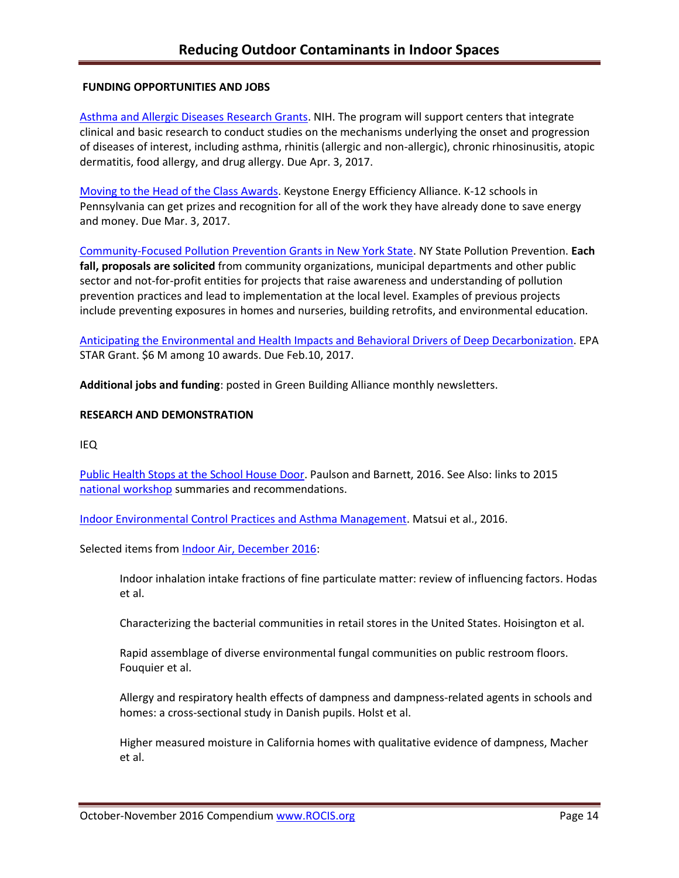## **FUNDING OPPORTUNITIES AND JOBS**

[Asthma and Allergic Diseases Research Grants.](http://www.rampasthma.org/archives/14267) NIH. The program will support centers that integrate clinical and basic research to conduct studies on the mechanisms underlying the onset and progression of diseases of interest, including asthma, rhinitis (allergic and non-allergic), chronic rhinosinusitis, atopic dermatitis, food allergy, and drug allergy. Due Apr. 3, 2017.

[Moving to the Head of the Class Awards.](http://keealliance.org/schools-award/) Keystone Energy Efficiency Alliance. K-12 schools in Pennsylvania can get prizes and recognition for all of the work they have already done to save energy and money. Due Mar. 3, 2017.

[Community-Focused Pollution Prevention Grants in New York State.](https://www.rit.edu/affiliate/nysp2i/community-programs/community-grants) NY State Pollution Prevention. **Each fall, proposals are solicited** from community organizations, municipal departments and other public sector and not-for-profit entities for projects that raise awareness and understanding of pollution prevention practices and lead to implementation at the local level. Examples of previous projects include preventing exposures in homes and nurseries, building retrofits, and environmental education.

[Anticipating the Environmental and Health Impacts and Behavioral Drivers of Deep Decarbonization.](file:///C:/Anticipating%20the%20Environmental%20Impacts%20and%20Behavioral%20Drivers%20of%20Deep%20Decarbonization%20%20Due%20Date/%2002:10:2017) EPA STAR Grant. \$6 M among 10 awards. Due Feb.10, 2017.

**Additional jobs and funding**: posted in Green Building Alliance monthly newsletters.

### **RESEARCH AND DEMONSTRATION**

IEQ

[Public Health Stops at the School House Door.](http://ehp.niehs.nih.gov/ehp530/) Paulson and Barnett, 2016. See Also: links to 2015 national [workshop](http://www.healthyschools.org/documents/Final_full_report.pdf) summaries and recommendations.

[Indoor Environmental Control Practices and Asthma Management.](http://pediatrics.aappublications.org/content/138/5/e20162589.full) Matsui et al., 2016.

Selected items from [Indoor Air, December 2016:](http://onlinelibrary.wiley.com/doi/10.1111/ina.2016.26.issue-6/issuetoc?campaign=woletoc)

Indoor inhalation intake fractions of fine particulate matter: review of influencing factors. Hodas et al.

Characterizing the bacterial communities in retail stores in the United States. Hoisington et al.

Rapid assemblage of diverse environmental fungal communities on public restroom floors. Fouquier et al.

Allergy and respiratory health effects of dampness and dampness-related agents in schools and homes: a cross-sectional study in Danish pupils. Holst et al.

Higher measured moisture in California homes with qualitative evidence of dampness, Macher et al.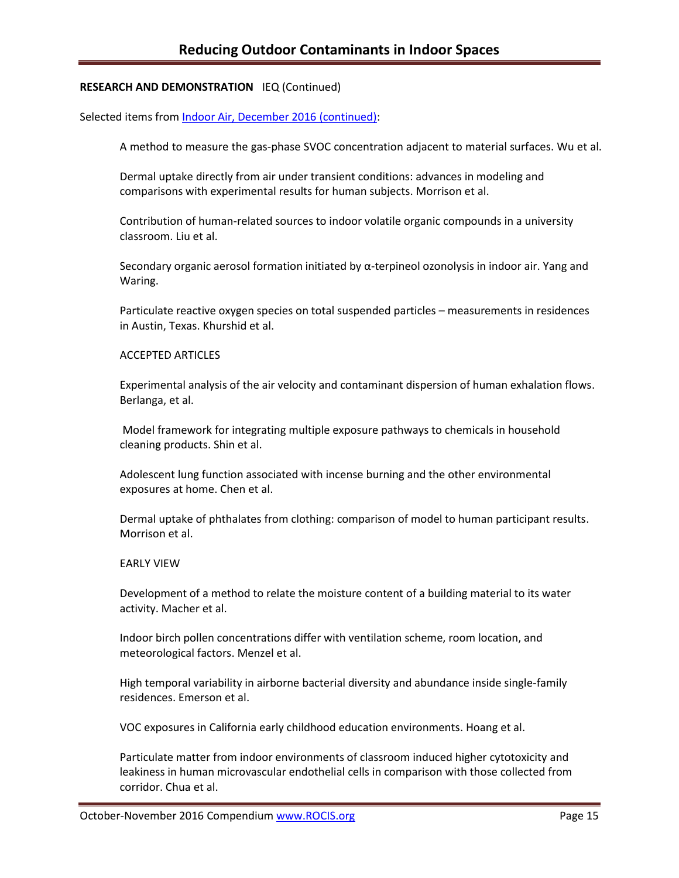## **RESEARCH AND DEMONSTRATION** IEQ (Continued)

Selected items from [Indoor Air, December 2016](http://onlinelibrary.wiley.com/doi/10.1111/ina.2016.26.issue-6/issuetoc?campaign=woletoc) (continued):

A method to measure the gas-phase SVOC concentration adjacent to material surfaces. Wu et al.

Dermal uptake directly from air under transient conditions: advances in modeling and comparisons with experimental results for human subjects. Morrison et al.

Contribution of human-related sources to indoor volatile organic compounds in a university classroom. Liu et al.

Secondary organic aerosol formation initiated by  $\alpha$ -terpineol ozonolysis in indoor air. Yang and Waring.

Particulate reactive oxygen species on total suspended particles – measurements in residences in Austin, Texas. Khurshid et al.

## ACCEPTED ARTICLES

Experimental analysis of the air velocity and contaminant dispersion of human exhalation flows. Berlanga, et al.

Model framework for integrating multiple exposure pathways to chemicals in household cleaning products. Shin et al.

Adolescent lung function associated with incense burning and the other environmental exposures at home. Chen et al.

Dermal uptake of phthalates from clothing: comparison of model to human participant results. Morrison et al.

#### EARLY VIEW

Development of a method to relate the moisture content of a building material to its water activity. Macher et al.

Indoor birch pollen concentrations differ with ventilation scheme, room location, and meteorological factors. Menzel et al.

High temporal variability in airborne bacterial diversity and abundance inside single-family residences. Emerson et al.

VOC exposures in California early childhood education environments. Hoang et al.

Particulate matter from indoor environments of classroom induced higher cytotoxicity and leakiness in human microvascular endothelial cells in comparison with those collected from corridor. Chua et al.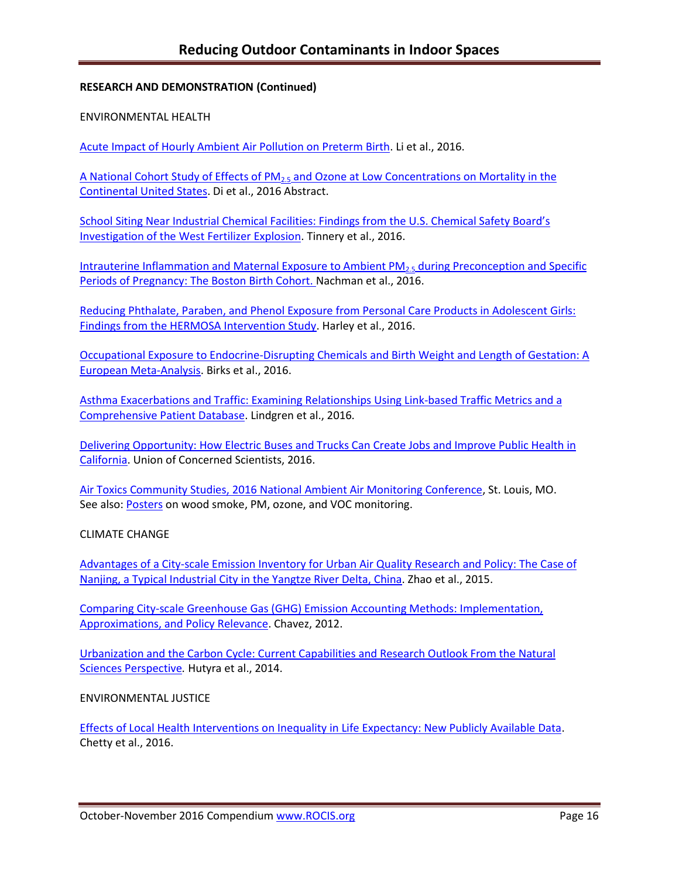## **RESEARCH AND DEMONSTRATION (Continued)**

### ENVIRONMENTAL HEALTH

[Acute Impact of Hourly Ambient Air Pollution on Preterm Birth.](http://ehp.niehs.nih.gov/ehp200/) Li et al., 2016.

A National Cohort Study of Effects of PM<sub>2.5</sub> and Ozone at Low Concentrations on Mortality in the [Continental United States.](http://ehp.niehs.nih.gov/isee/2016-o-001-4040/) Di et al., 2016 Abstract.

[School Siting Near Industrial Chemical Facilities: Findings from the U.S. Chemical Safety Board's](http://ehp.niehs.nih.gov/ehp132/)  [Investigation of the West Fertilizer Explosion.](http://ehp.niehs.nih.gov/ehp132/) Tinnery et al., 2016.

Intrauterine Inflammation and Maternal Exposure to Ambient  $PM_{2.5}$  during Preconception and Specific [Periods of Pregnancy: The Boston Birth Cohort. N](http://ehp.niehs.nih.gov/ehp243/)achman et al., 2016.

[Reducing Phthalate, Paraben, and Phenol Exposure from Personal Care Products in Adolescent Girls:](http://ehp.niehs.nih.gov/15-10514/)  [Findings from the HERMOSA Intervention Study.](http://ehp.niehs.nih.gov/15-10514/) Harley et al., 2016.

[Occupational Exposure to Endocrine-Disrupting Chemicals and Birth Weight and Length of Gestation: A](file:///C:/Users/lwigington/Downloads/ehp.niehs.nih.gov/childrens-health)  [European Meta-Analysis.](file:///C:/Users/lwigington/Downloads/ehp.niehs.nih.gov/childrens-health) Birks et al., 2016.

[Asthma Exacerbations and Traffic: Examining Relationships Using Link-based Traffic Metrics and a](http://ehjournal.biomedcentral.com/articles/10.1186/s12940-016-0184-2)  [Comprehensive Patient Database.](http://ehjournal.biomedcentral.com/articles/10.1186/s12940-016-0184-2) Lindgren et al., 2016.

[Delivering Opportunity: How Electric Buses and Trucks Can Create Jobs and Improve Public Health in](http://www.ucsusa.org/clean-vehicles/electric-vehicles/freight-electrification#.WC2KxoWsOwk)  [California.](http://www.ucsusa.org/clean-vehicles/electric-vehicles/freight-electrification#.WC2KxoWsOwk) Union of Concerned Scientists, 2016.

[Air Toxics Community Studies, 2016 National Ambient Air Monitoring Conference,](file:///C:/Users/lwigington/Downloads/2016%20National%20Ambient%20Air%20Monitoring%20Conference) St. Louis, MO. See also: [Posters](https://www.epa.gov/sites/production/files/2016-09/documents/castnet_ozone_monitoring.pdf) on wood smoke, PM, ozone, and VOC monitoring.

CLIMATE CHANGE

[Advantages of a City-scale Emission Inventory for Urban Air Quality Research and Policy: The Case of](http://www.atmos-chem-phys.net/15/12623/2015/acp-15-12623-2015.pdf) [Nanjing, a Typical Industrial City in the Yangtze River Delta, China.](http://www.atmos-chem-phys.net/15/12623/2015/acp-15-12623-2015.pdf) Zhao et al., 2015.

[Comparing City-scale Greenhouse Gas \(GHG\) Emission Accounting Methods: Implementation,](http://digital.auraria.edu/AA00000056/00001)  [Approximations, and Policy Relevance.](http://digital.auraria.edu/AA00000056/00001) Chavez, 2012.

[Urbanization and the Carbon Cycle: Current Capabilities and Research Outlook From the Natural](http://onlinelibrary.wiley.com/doi/10.1002/2014EF000255/full)  [Sciences Perspective](http://onlinelibrary.wiley.com/doi/10.1002/2014EF000255/full)*.* Hutyra et al., 2014.

ENVIRONMENTAL JUSTICE

[Effects of Local Health Interventions on Inequality in Life Expectancy: New Publicly Available Data.](http://www.asthmacommunitynetwork.org/node/16478) Chetty et al., 2016.